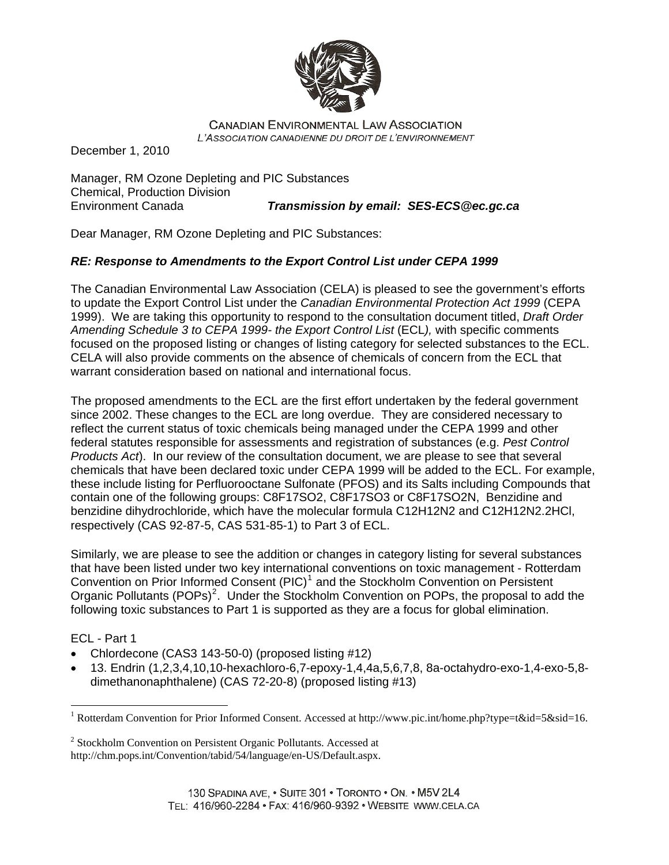

**CANADIAN ENVIRONMENTAL LAW ASSOCIATION** L'ASSOCIATION CANADIENNE DU DROIT DE L'ENVIRONNEMENT

December 1, 2010

Manager, RM Ozone Depleting and PIC Substances Chemical, Production Division Environment Canada *Transmission by email: [SES-ECS@ec.gc.ca](mailto:SES-ECS@ec.gc.ca)*

Dear Manager, RM Ozone Depleting and PIC Substances:

# *RE: Response to Amendments to the Export Control List under CEPA 1999*

The Canadian Environmental Law Association (CELA) is pleased to see the government's efforts to update the Export Control List under the *Canadian Environmental Protection Act 1999* (CEPA 1999). We are taking this opportunity to respond to the consultation document titled, *Draft Order Amending Schedule 3 to CEPA 1999- the Export Control List* (ECL*),* with specific comments focused on the proposed listing or changes of listing category for selected substances to the ECL. CELA will also provide comments on the absence of chemicals of concern from the ECL that warrant consideration based on national and international focus.

The proposed amendments to the ECL are the first effort undertaken by the federal government since 2002. These changes to the ECL are long overdue. They are considered necessary to reflect the current status of toxic chemicals being managed under the CEPA 1999 and other federal statutes responsible for assessments and registration of substances (e.g. *Pest Control Products Act*). In our review of the consultation document, we are please to see that several chemicals that have been declared toxic under CEPA 1999 will be added to the ECL. For example, these include listing for Perfluorooctane Sulfonate (PFOS) and its Salts including Compounds that contain one of the following groups: C8F17SO2, C8F17SO3 or C8F17SO2N, Benzidine and benzidine dihydrochloride, which have the molecular formula C12H12N2 and C12H12N2.2HCl, respectively (CAS 92-87-5, CAS 531-85-1) to Part 3 of ECL.

Similarly, we are please to see the addition or changes in category listing for several substances that have been listed under two key international conventions on toxic management - Rotterdam Convention on Prior Informed Consent  $(PIC)^1$  $(PIC)^1$  and the Stockholm Convention on Persistent Organic Pollutants  $(POPs)^2$  $(POPs)^2$ . Under the Stockholm Convention on POPs, the proposal to add the following toxic substances to Part 1 is supported as they are a focus for global elimination.

ECL - Part 1

 $\overline{a}$ 

- Chlordecone (CAS3 143-50-0) (proposed listing #12)
- 13. Endrin (1,2,3,4,10,10-hexachloro-6,7-epoxy-1,4,4a,5,6,7,8, 8a-octahydro-exo-1,4-exo-5,8 dimethanonaphthalene) (CAS 72-20-8) (proposed listing #13)

<span id="page-0-0"></span><sup>&</sup>lt;sup>1</sup> Rotterdam Convention for Prior Informed Consent. Accessed at [http://www.pic.int/home.php?type=t&id=5&sid=16.](http://www.pic.int/home.php?type=t&id=5&sid=16)

<span id="page-0-1"></span><sup>&</sup>lt;sup>2</sup> Stockholm Convention on Persistent Organic Pollutants. Accessed at <http://chm.pops.int/Convention/tabid/54/language/en-US/Default.aspx>.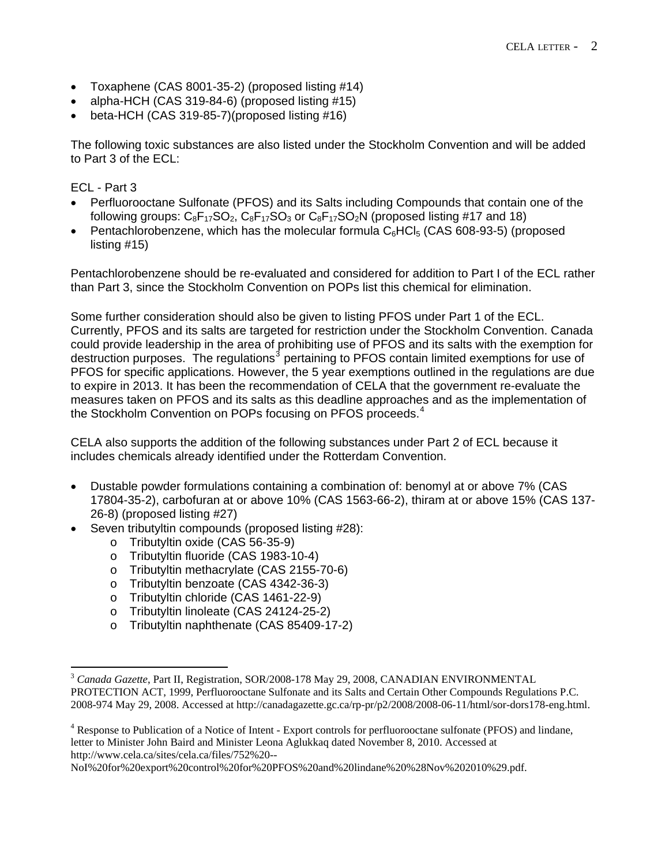- Toxaphene (CAS 8001-35-2) (proposed listing #14)
- alpha-HCH (CAS 319-84-6) (proposed listing #15)
- beta-HCH (CAS 319-85-7)(proposed listing #16)

The following toxic substances are also listed under the Stockholm Convention and will be added to Part 3 of the ECL:

#### ECL - Part 3

 $\overline{a}$ 

- Perfluorooctane Sulfonate (PFOS) and its Salts including Compounds that contain one of the following groups:  $C_8F_{17}SO_2$ ,  $C_8F_{17}SO_3$  or  $C_8F_{17}SO_2N$  (proposed listing #17 and 18)
- Pentachlorobenzene, which has the molecular formula  $C_6$ HCl<sub>5</sub> (CAS 608-93-5) (proposed listing #15)

Pentachlorobenzene should be re-evaluated and considered for addition to Part I of the ECL rather than Part 3, since the Stockholm Convention on POPs list this chemical for elimination.

Some further consideration should also be given to listing PFOS under Part 1 of the ECL. Currently, PFOS and its salts are targeted for restriction under the Stockholm Convention. Canada could provide leadership in the area of prohibiting use of PFOS and its salts with the exemption for destruction purposes. The regulations<sup>[3](#page-1-0)</sup> pertaining to PFOS contain limited exemptions for use of PFOS for specific applications. However, the 5 year exemptions outlined in the regulations are due to expire in 2013. It has been the recommendation of CELA that the government re-evaluate the measures taken on PFOS and its salts as this deadline approaches and as the implementation of the Stockholm Convention on POPs focusing on PFOS proceeds.<sup>[4](#page-1-1)</sup>

CELA also supports the addition of the following substances under Part 2 of ECL because it includes chemicals already identified under the Rotterdam Convention.

- Dustable powder formulations containing a combination of: benomyl at or above 7% (CAS 17804-35-2), carbofuran at or above 10% (CAS 1563-66-2), thiram at or above 15% (CAS 137- 26-8) (proposed listing #27)
- Seven tributyltin compounds (proposed listing #28):
	- o Tributyltin oxide (CAS 56-35-9)
	- o Tributyltin fluoride (CAS 1983-10-4)
	- o Tributyltin methacrylate (CAS 2155-70-6)
	- o Tributyltin benzoate (CAS 4342-36-3)
	- o Tributyltin chloride (CAS 1461-22-9)
	- o Tributyltin linoleate (CAS 24124-25-2)
	- o Tributyltin naphthenate (CAS 85409-17-2)

<span id="page-1-0"></span><sup>3</sup> *Canada Gazette*, Part II, Registration, SOR/2008-178 May 29, 2008, CANADIAN ENVIRONMENTAL PROTECTION ACT, 1999, Perfluorooctane Sulfonate and its Salts and Certain Other Compounds Regulations P.C. 2008-974 May 29, 2008. Accessed at [http://canadagazette.gc.ca/rp-pr/p2/2008/2008-06-11/html/sor-dors178-eng.html.](http://canadagazette.gc.ca/rp-pr/p2/2008/2008-06-11/html/sor-dors178-eng.html)

<span id="page-1-1"></span><sup>&</sup>lt;sup>4</sup> Response to Publication of a Notice of Intent - Export controls for perfluorooctane sulfonate (PFOS) and lindane, letter to Minister John Baird and Minister Leona Aglukkaq dated November 8, 2010. Accessed at [http://www.cela.ca/sites/cela.ca/files/752%20--](http://www.cela.ca/sites/cela.ca/files/752%20--NoI%20for%20export%20control%20for%20PFOS%20and%20lindane%20%28Nov%202010%29.pdf)

[NoI%20for%20export%20control%20for%20PFOS%20and%20lindane%20%28Nov%202010%29.pdf](http://www.cela.ca/sites/cela.ca/files/752%20--NoI%20for%20export%20control%20for%20PFOS%20and%20lindane%20%28Nov%202010%29.pdf).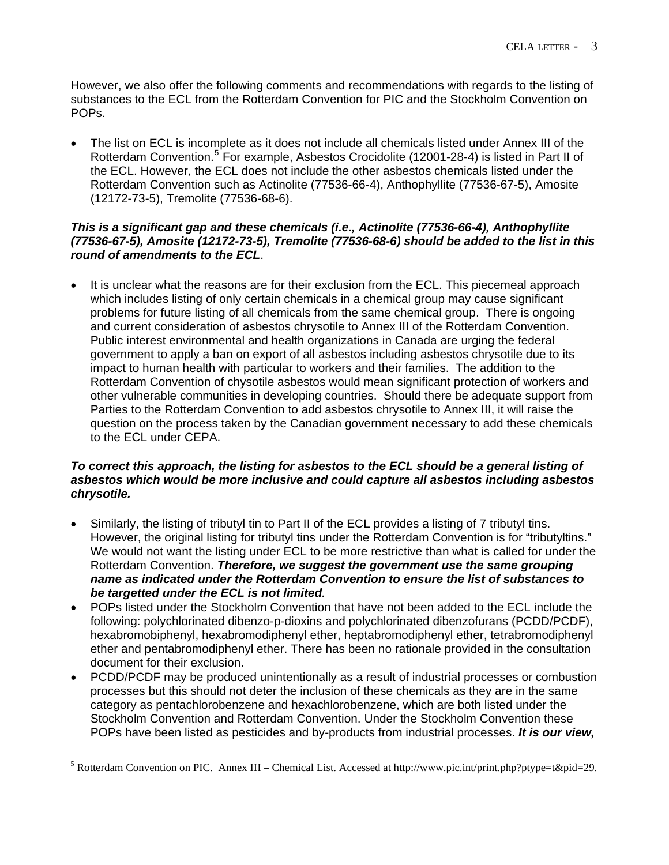However, we also offer the following comments and recommendations with regards to the listing of substances to the ECL from the Rotterdam Convention for PIC and the Stockholm Convention on POPs.

• The list on ECL is incomplete as it does not include all chemicals listed under Annex III of the Rotterdam Convention.<sup>[5](#page-2-0)</sup> For example, Asbestos Crocidolite (12001-28-4) is listed in Part II of the ECL. However, the ECL does not include the other asbestos chemicals listed under the Rotterdam Convention such as Actinolite (77536-66-4), Anthophyllite (77536-67-5), Amosite (12172-73-5), Tremolite (77536-68-6).

#### *This is a significant gap and these chemicals (i.e., Actinolite (77536-66-4), Anthophyllite (77536-67-5), Amosite (12172-73-5), Tremolite (77536-68-6) should be added to the list in this round of amendments to the ECL*.

It is unclear what the reasons are for their exclusion from the ECL. This piecemeal approach which includes listing of only certain chemicals in a chemical group may cause significant problems for future listing of all chemicals from the same chemical group. There is ongoing and current consideration of asbestos chrysotile to Annex III of the Rotterdam Convention. Public interest environmental and health organizations in Canada are urging the federal government to apply a ban on export of all asbestos including asbestos chrysotile due to its impact to human health with particular to workers and their families. The addition to the Rotterdam Convention of chysotile asbestos would mean significant protection of workers and other vulnerable communities in developing countries. Should there be adequate support from Parties to the Rotterdam Convention to add asbestos chrysotile to Annex III, it will raise the question on the process taken by the Canadian government necessary to add these chemicals to the ECL under CEPA.

### *To correct this approach, the listing for asbestos to the ECL should be a general listing of asbestos which would be more inclusive and could capture all asbestos including asbestos chrysotile.*

- Similarly, the listing of tributyl tin to Part II of the ECL provides a listing of 7 tributyl tins. However, the original listing for tributyl tins under the Rotterdam Convention is for "tributyltins." We would not want the listing under ECL to be more restrictive than what is called for under the Rotterdam Convention. *Therefore, we suggest the government use the same grouping name as indicated under the Rotterdam Convention to ensure the list of substances to be targetted under the ECL is not limited.*
- POPs listed under the Stockholm Convention that have not been added to the ECL include the following: polychlorinated dibenzo-p-dioxins and polychlorinated dibenzofurans (PCDD/PCDF), hexabromobiphenyl, hexabromodiphenyl ether, heptabromodiphenyl ether, tetrabromodiphenyl ether and pentabromodiphenyl ether. There has been no rationale provided in the consultation document for their exclusion.
- PCDD/PCDF may be produced unintentionally as a result of industrial processes or combustion processes but this should not deter the inclusion of these chemicals as they are in the same category as pentachlorobenzene and hexachlorobenzene, which are both listed under the Stockholm Convention and Rotterdam Convention. Under the Stockholm Convention these POPs have been listed as pesticides and by-products from industrial processes. *It is our view,*

<span id="page-2-0"></span> 5 Rotterdam Convention on PIC. Annex III – Chemical List. Accessed at<http://www.pic.int/print.php?ptype=t&pid=29>.